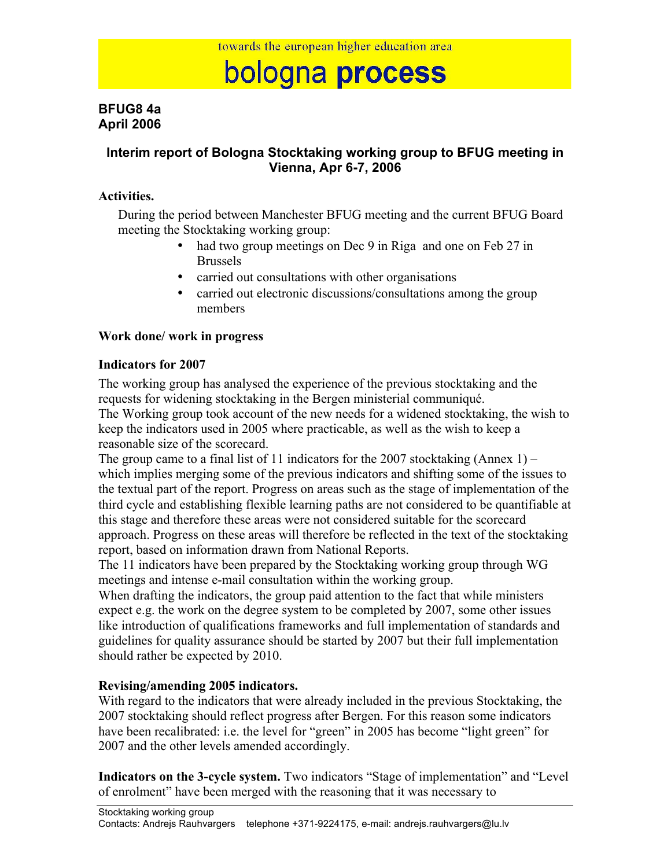# bologna process

# **BFUG8 4a April 2006**

# **Interim report of Bologna Stocktaking working group to BFUG meeting in Vienna, Apr 6-7, 2006**

### **Activities.**

During the period between Manchester BFUG meeting and the current BFUG Board meeting the Stocktaking working group:

- had two group meetings on Dec 9 in Riga and one on Feb 27 in Brussels
- carried out consultations with other organisations
- carried out electronic discussions/consultations among the group members

#### **Work done/ work in progress**

#### **Indicators for 2007**

The working group has analysed the experience of the previous stocktaking and the requests for widening stocktaking in the Bergen ministerial communiqué.

The Working group took account of the new needs for a widened stocktaking, the wish to keep the indicators used in 2005 where practicable, as well as the wish to keep a reasonable size of the scorecard.

The group came to a final list of 11 indicators for the 2007 stocktaking (Annex 1) – which implies merging some of the previous indicators and shifting some of the issues to the textual part of the report. Progress on areas such as the stage of implementation of the third cycle and establishing flexible learning paths are not considered to be quantifiable at this stage and therefore these areas were not considered suitable for the scorecard approach. Progress on these areas will therefore be reflected in the text of the stocktaking report, based on information drawn from National Reports.

The 11 indicators have been prepared by the Stocktaking working group through WG meetings and intense e-mail consultation within the working group.

When drafting the indicators, the group paid attention to the fact that while ministers expect e.g. the work on the degree system to be completed by 2007, some other issues like introduction of qualifications frameworks and full implementation of standards and guidelines for quality assurance should be started by 2007 but their full implementation should rather be expected by 2010.

# **Revising/amending 2005 indicators.**

With regard to the indicators that were already included in the previous Stocktaking, the 2007 stocktaking should reflect progress after Bergen. For this reason some indicators have been recalibrated: i.e. the level for "green" in 2005 has become "light green" for 2007 and the other levels amended accordingly.

**Indicators on the 3-cycle system.** Two indicators "Stage of implementation" and "Level of enrolment" have been merged with the reasoning that it was necessary to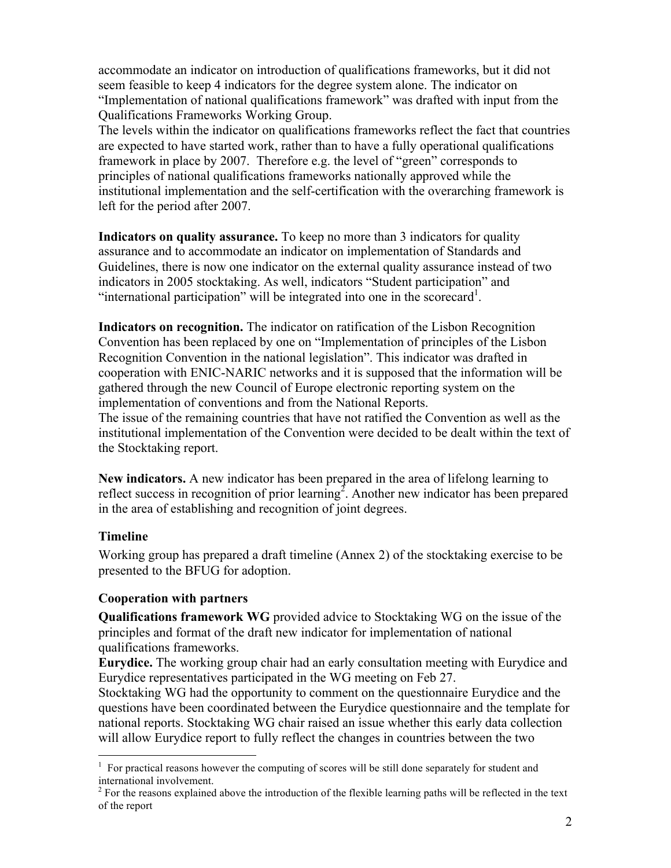accommodate an indicator on introduction of qualifications frameworks, but it did not seem feasible to keep 4 indicators for the degree system alone. The indicator on "Implementation of national qualifications framework" was drafted with input from the Qualifications Frameworks Working Group.

The levels within the indicator on qualifications frameworks reflect the fact that countries are expected to have started work, rather than to have a fully operational qualifications framework in place by 2007. Therefore e.g. the level of "green" corresponds to principles of national qualifications frameworks nationally approved while the institutional implementation and the self-certification with the overarching framework is left for the period after 2007.

**Indicators on quality assurance.** To keep no more than 3 indicators for quality assurance and to accommodate an indicator on implementation of Standards and Guidelines, there is now one indicator on the external quality assurance instead of two indicators in 2005 stocktaking. As well, indicators "Student participation" and "international participation" will be integrated into one in the scorecard<sup>1</sup>.

**Indicators on recognition.** The indicator on ratification of the Lisbon Recognition Convention has been replaced by one on "Implementation of principles of the Lisbon Recognition Convention in the national legislation". This indicator was drafted in cooperation with ENIC-NARIC networks and it is supposed that the information will be gathered through the new Council of Europe electronic reporting system on the implementation of conventions and from the National Reports.

The issue of the remaining countries that have not ratified the Convention as well as the institutional implementation of the Convention were decided to be dealt within the text of the Stocktaking report.

**New indicators.** A new indicator has been prepared in the area of lifelong learning to reflect success in recognition of prior learning<sup>2</sup>. Another new indicator has been prepared in the area of establishing and recognition of joint degrees.

# **Timeline**

Working group has prepared a draft timeline (Annex 2) of the stocktaking exercise to be presented to the BFUG for adoption.

# **Cooperation with partners**

**Qualifications framework WG** provided advice to Stocktaking WG on the issue of the principles and format of the draft new indicator for implementation of national qualifications frameworks.

**Eurydice.** The working group chair had an early consultation meeting with Eurydice and Eurydice representatives participated in the WG meeting on Feb 27.

Stocktaking WG had the opportunity to comment on the questionnaire Eurydice and the questions have been coordinated between the Eurydice questionnaire and the template for national reports. Stocktaking WG chair raised an issue whether this early data collection will allow Eurydice report to fully reflect the changes in countries between the two

<sup>&</sup>lt;sup>1</sup> For practical reasons however the computing of scores will be still done separately for student and international involvement.

<sup>&</sup>lt;sup>2</sup> For the reasons explained above the introduction of the flexible learning paths will be reflected in the text of the report